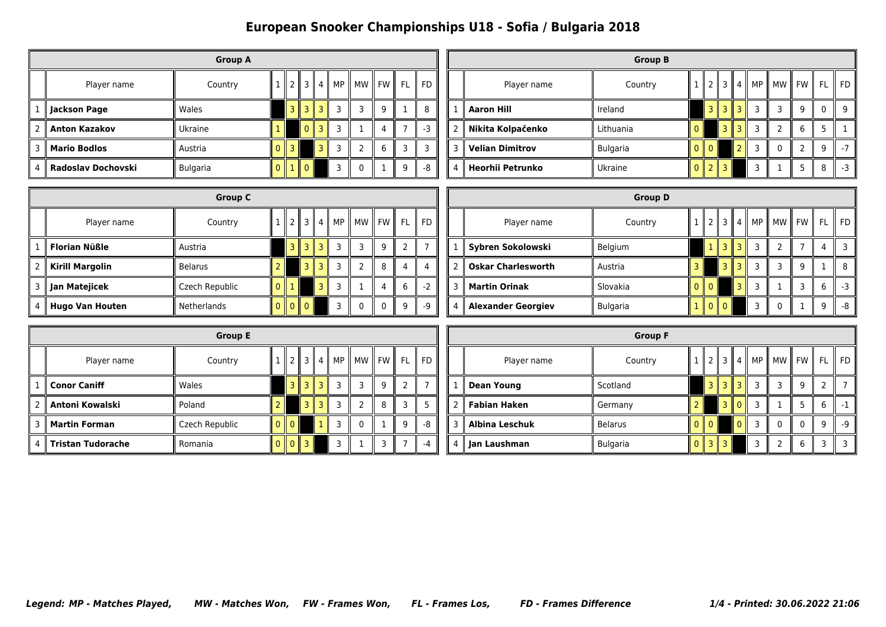|   |                      | <b>Group A</b>  |                      |   |                |   |    |    |                           |    |      |
|---|----------------------|-----------------|----------------------|---|----------------|---|----|----|---------------------------|----|------|
|   | Player name          | Country         |                      |   | 3 II           | 4 | MP | МW | <b>FW</b><br>$\mathbf{I}$ | FL | l FD |
|   | Sackson Page         | Wales           |                      | 3 | R              | ₹ | 3  | 3  | 9                         |    | 8    |
| 2 | <b>Anton Kazakov</b> | Ukraine         |                      |   | $\Omega$       | ₹ | 3  |    | 4                         |    | -3   |
| 3 | <b>Mario Bodlos</b>  | Austria         |                      |   |                |   | 3  | າ  | 6                         | 3  | っ    |
| 4 | Radoslav Dochovski   | <b>Bulgaria</b> | 0 <sup>1</sup><br>Ш. |   | $\mathbf{I}$ 0 |   |    | 0  |                           | 9  | -8   |

|   |                         | <b>Group B</b>  |     |                |                |   |                    |                |           |          |      |
|---|-------------------------|-----------------|-----|----------------|----------------|---|--------------------|----------------|-----------|----------|------|
|   | Player name             | Country         |     |                | $\overline{3}$ | 4 | MP<br>$\mathbb{I}$ | <b>MW</b><br>Ш | <b>FW</b> | FL       | FD   |
|   | <b>Aaron Hill</b>       | Ireland         |     | $\overline{3}$ | 3              | 3 | 3                  | 3              | 9         | $\Omega$ | 9    |
| 2 | Nikita Kolpačenko       | Lithuania       |     |                | 3              | R | 3                  | 2              | 6         | 5        |      |
| ٦ | <b>Velian Dimitrov</b>  | <b>Bulgaria</b> |     | Ш<br>$\Omega$  |                |   | 3                  | $\mathbf{0}$   | ົ         | 9        | $-7$ |
| 4 | <b>Heorhii Petrunko</b> | Ukraine         | n n | $\overline{2}$ | $-1$ $3$       |   | 3                  |                | 5         | 8        | -3   |

|   | <b>Group C</b>         |                |   |                |                         |  |         |                   |          |   |       |  |
|---|------------------------|----------------|---|----------------|-------------------------|--|---------|-------------------|----------|---|-------|--|
|   | Player name            | Country        |   | $\mathcal{P}$  | $\parallel$ 3           |  | 4    MP | II MW II FW II FL |          |   | II FD |  |
|   | <b>Florian Nüßle</b>   | Austria        |   | $\overline{3}$ |                         |  | 3       | З                 | 9        |   |       |  |
| 2 | <b>Kirill Margolin</b> | <b>Belarus</b> |   |                | $\overline{\mathbf{z}}$ |  | 3       | っ                 | 8        |   |       |  |
| 3 | Jan Matejicek          | Czech Republic |   |                |                         |  | 3       |                   | 4        | 6 |       |  |
| 4 | <b>Hugo Van Houten</b> | Netherlands    | Ш | $\mathbf{0}$   | 11 O                    |  | 3       | 0                 | $\Omega$ | 9 | -9    |  |

|   |                           | <b>Group D</b>  |   |              |                |   |    |       |            |    |      |
|---|---------------------------|-----------------|---|--------------|----------------|---|----|-------|------------|----|------|
|   | Player name               | Country         |   |              | 3 II           | 4 | MP | II MW | ll FW<br>Ш | FL | FD   |
|   | Sybren Sokolowski         | Belgium         |   |              |                |   | 3  | 2     |            | 4  |      |
|   | <b>Oskar Charlesworth</b> | Austria         |   |              | 3              |   | 3  | 3     | 9          |    | 8    |
| 3 | <b>Martin Orinak</b>      | Slovakia        |   | - II O       |                |   | 3  |       | 3          | 6  | $-3$ |
| 4 | <b>Alexander Georgiev</b> | <b>Bulgaria</b> | Ш | $\mathbf{0}$ | $\mathsf{I}$ 0 |   | ٦  | 0     |            | q  | -8   |

|   | <b>Group E</b>           |                |               |               |                |   |    |   |           |     |    |
|---|--------------------------|----------------|---------------|---------------|----------------|---|----|---|-----------|-----|----|
|   | Player name              | Country        |               | $\mathcal{P}$ | 3              | 4 | MP |   | MW I FW I | FL. | FD |
|   | <b>∥ Conor Caniff</b>    | Wales          |               | 3             | 3              |   | 3  | 3 | 9         |     |    |
| 2 | <b>Antoni Kowalski</b>   | Poland         |               |               | 3 <sub>1</sub> |   | 3  | 2 | 8         |     |    |
| 3 | <b>Martin Forman</b>     | Czech Republic | $0$   $0$     |               |                |   | 3  | 0 |           | q   | -8 |
| 4 | <b>Tristan Tudorache</b> | Romania        | $\Omega$<br>Ш | $\Omega$      | 3              |   | 3  |   | 3         |     |    |

|                |                       | <b>Group F</b>  |          |                |   |                 |    |              |       |                |      |
|----------------|-----------------------|-----------------|----------|----------------|---|-----------------|----|--------------|-------|----------------|------|
|                | Player name           | Country         |          |                |   | 3  4            | MP | <b>MW</b>    | ll FW | <b>FL</b>      | FD   |
| 1              | <b>Dean Young</b>     | Scotland        |          | 3 II           |   | $3 \parallel 3$ | 3  | 3            | 9     | $\overline{2}$ |      |
| $\overline{2}$ | <b>Fabian Haken</b>   | Germany         |          |                | 3 |                 | 3  |              | 5     | 6              | -1   |
| 3              | <b>Albina Leschuk</b> | <b>Belarus</b>  | $\Omega$ | $\mathsf{I}$ 0 |   | $\Omega$        | 3  | $\mathbf{0}$ | 0     | q              | $-9$ |
| 4              | Jan Laushman          | <b>Bulgaria</b> | 0        | 3<br>Ш<br>Ш    | 3 |                 | 3  | 2            | 6     | 3              | っ    |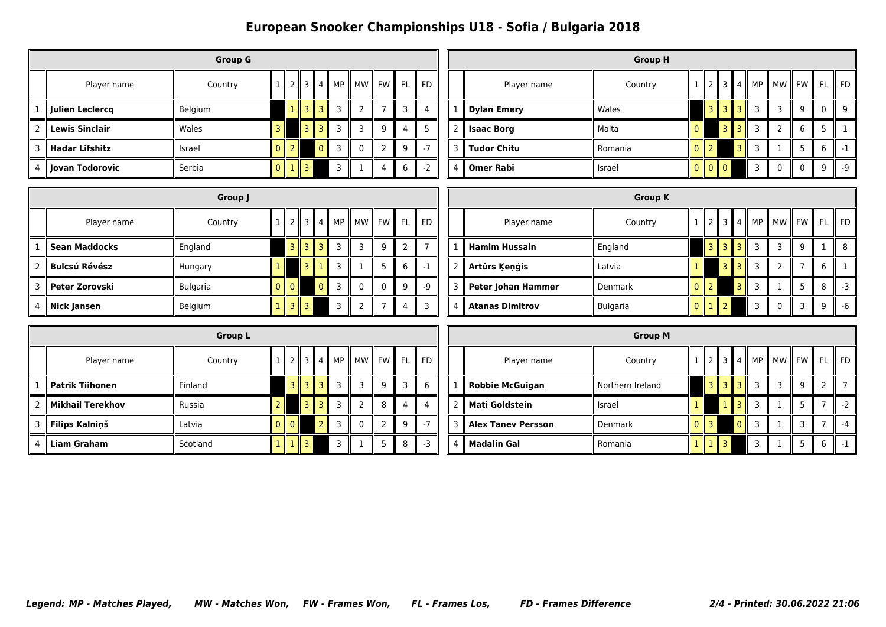|   | <b>Group G</b>        |         |               |  |   |                 |    |                    |           |    |      |  |
|---|-----------------------|---------|---------------|--|---|-----------------|----|--------------------|-----------|----|------|--|
|   | Player name           | Country |               |  |   | $3 \parallel 4$ | MP | MW<br>$\mathbf{I}$ | <b>FW</b> | FL | FD   |  |
|   | Julien Leclercq       | Belgium |               |  | R | R<br>ш          | 3  | 2                  |           | 3  |      |  |
| 2 | Lewis Sinclair        | Wales   |               |  | 3 | ₹               | 3  | 3                  | 9         | 4  |      |  |
| 3 | <b>Hadar Lifshitz</b> | Israel  |               |  |   |                 | 3  | 0                  | າ         | q  | $-7$ |  |
| 4 | Jovan Todorovic       | Serbia  | $\Omega$<br>Ш |  | ٦ |                 | ٦  |                    | 4         | 6  | $-2$ |  |

|     |                    | <b>Group H</b> |          |                   |        |        |    |              |              |    |                |
|-----|--------------------|----------------|----------|-------------------|--------|--------|----|--------------|--------------|----|----------------|
|     | Player name        | Country        |          | 2                 | 3      | 4      | MP | <b>MW</b>    | <b>FW</b>    | FL | $\parallel$ FD |
|     | <b>Dylan Emery</b> | Wales          |          | 3 II              | 3      | 3<br>Ш | 3  | 3            | 9            | 0  | 9              |
| l 2 | <b>Isaac Borg</b>  | Malta          |          |                   | 3<br>ш | 3      | 3  | 2            | 6            | 5  |                |
| 3   | ∥ Tudor Chitu      | Romania        | n        |                   |        | 3      | 3  |              | 5            | 6  |                |
| 4   | <b>Omer Rabi</b>   | Israel         | $\Omega$ | $\overline{1010}$ |        |        | 3  | $\mathbf{0}$ | $\mathbf{0}$ | 9  | $-9$           |

|   | Group J              |                 |  |                |             |  |                   |                               |   |                |       |  |  |
|---|----------------------|-----------------|--|----------------|-------------|--|-------------------|-------------------------------|---|----------------|-------|--|--|
|   | Player name          | Country         |  |                | $2$   3   4 |  | $\blacksquare$ MP | $\parallel$ MW $\parallel$ FW |   | $\parallel$ FL | II FD |  |  |
|   | <b>Sean Maddocks</b> | England         |  | 3 II           |             |  | ्द                |                               | q |                |       |  |  |
|   | <b>Bulcsú Révész</b> | Hungary         |  |                |             |  |                   |                               |   | 6              |       |  |  |
| 3 | Peter Zorovski       | <b>Bulgaria</b> |  | $\overline{0}$ |             |  |                   |                               |   | a              | -9    |  |  |
| 4 | <b>Nick Jansen</b>   | Belgium         |  | R              |             |  |                   |                               |   |                |       |  |  |

|                |                           | <b>Group K</b>  |  |      |     |    |                                           |   |    |    |
|----------------|---------------------------|-----------------|--|------|-----|----|-------------------------------------------|---|----|----|
|                | Player name               | Country         |  | 3 II | 4 I | MP | $\parallel$ MW $\parallel$ FW $\parallel$ |   | FL | FD |
| 1              | <b>Hamim Hussain</b>      | England         |  | R    |     | 3  | 3                                         | 9 |    | 8  |
| $\overline{2}$ | Artūrs Ķeņģis             | Latvia          |  | 3    |     | 3  | 2                                         |   | 6  |    |
| 3 <sup>1</sup> | <b>Peter Johan Hammer</b> | Denmark         |  |      |     | 3  |                                           | 5 | 8  | -3 |
| 4              | <b>Atanas Dimitrov</b>    | <b>Bulgaria</b> |  | ำ    |     | 3  | 0                                         | ٦ | 9  | -6 |

|               | <b>Group L</b>          |          |  |      |                  |        |    |         |   |     |                |  |
|---------------|-------------------------|----------|--|------|------------------|--------|----|---------|---|-----|----------------|--|
|               | Player name             | Country  |  |      |                  | 3    4 | MP | MW FW I |   | FL. | $\parallel$ FD |  |
|               | <b>Patrik Tiihonen</b>  | Finland  |  |      | R<br>$\mathbf l$ |        | 3  | 3       | 9 | 3   | 6              |  |
| $\mathcal{P}$ | <b>Mikhail Terekhov</b> | Russia   |  |      | 3 II             |        | 3  | 2       | 8 |     | 4              |  |
| 3             | <b>Filips Kalniņš</b>   | Latvia   |  | 11 O |                  |        | 3  | 0       | า | q   | $-7$           |  |
| 4             | <b>Liam Graham</b>      | Scotland |  |      |                  |        | 3  |         | 5 | 8   | -3             |  |

|                |                           | <b>Group M</b>   |         |   |   |          |    |    |           |     |      |
|----------------|---------------------------|------------------|---------|---|---|----------|----|----|-----------|-----|------|
|                | Player name               | Country          |         |   | 3 | 4        | МP | MW | <b>FW</b> | -FL | FD   |
| $\mathbf{1}$   | <b>Robbie McGuigan</b>    | Northern Ireland |         | 3 | 3 | ٦        | 3  | 3  | 9         |     |      |
| $\overline{2}$ | <b>Mati Goldstein</b>     | Israel           |         |   |   |          | 3  |    | 5         |     | $-2$ |
| 3              | <b>Alex Tanev Persson</b> | <b>Denmark</b>   | $0$   3 |   |   | $\Omega$ | 3  |    | 3         |     | -4   |
| 4              | <b>Madalin Gal</b>        | Romania          |         |   |   |          | 3  |    | 5         | 6   | $-1$ |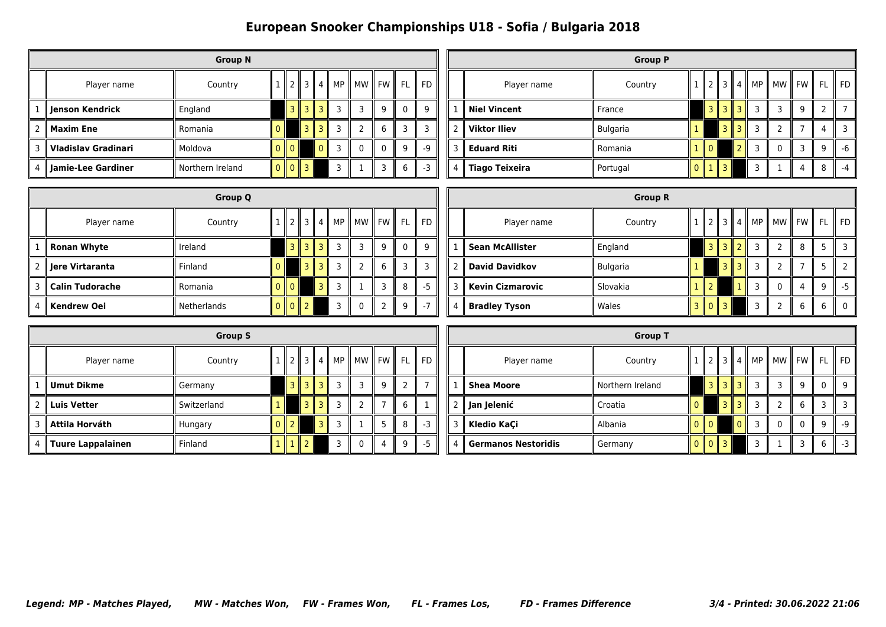|   | <b>Group N</b>             |                  |  |      |   |               |    |          |           |    |      |  |
|---|----------------------------|------------------|--|------|---|---------------|----|----------|-----------|----|------|--|
|   | Player name                | Country          |  |      | 3 | $\parallel$ 4 | MP | МW<br>Ш  | <b>FW</b> | FL | FD   |  |
|   | Jenson Kendrick            | England          |  | 3 II | R | 3             | 3  | 3        | 9         | 0  | 9    |  |
| 2 | Maxim Ene                  | Romania          |  |      | 3 | 3             | 3  | 2        | 6         | 3  | 3    |  |
| 3 | <b>Vladislav Gradinari</b> | Moldova          |  |      |   | 0             | 3  | $\Omega$ | $\Omega$  | q  | $-Q$ |  |
| 4 | Jamie-Lee Gardiner         | Northern Ireland |  |      | ₹ |               | 3  |          | ٦         | 6  | $-3$ |  |

|                |                       | <b>Group P</b>  |   |     |                |                     |    |           |           |    |    |
|----------------|-----------------------|-----------------|---|-----|----------------|---------------------|----|-----------|-----------|----|----|
|                | Player name           | Country         |   |     | $\overline{3}$ | I<br>$\overline{4}$ | МP | <b>MW</b> | <b>FW</b> | FL | FD |
|                | <b>Niel Vincent</b>   | France          |   | 3 I | 3              | 3<br>Ш              | 3  | 3         | 9         | 2  |    |
| l 2            | <b>Viktor Iliev</b>   | <b>Bulgaria</b> |   |     | 3              | 3<br>Ш              | 3  | 2         |           | 4  | ∍  |
| 3              | <b>Eduard Riti</b>    | Romania         |   |     |                |                     | 3  | 0         | 3         | q  | -6 |
| $\overline{4}$ | <b>Tiago Teixeira</b> | Portugal        | O |     | ₹              |                     | ٦  |           | 4         | 8  | -4 |

|                | <b>Group Q</b>         |             |  |               |                     |    |    |    |           |    |    |  |
|----------------|------------------------|-------------|--|---------------|---------------------|----|----|----|-----------|----|----|--|
|                | Player name            | Country     |  |               | 3 I<br>$\mathbf{I}$ | 4  | MP | МW | <b>FW</b> | FL | FD |  |
|                | <b>Ronan Whyte</b>     | Ireland     |  | 3 II          | 3 I I               | -3 | 3  | 3  | q         | 0  | q  |  |
| $\overline{2}$ | ∥ Jere Virtaranta      | Finland     |  |               | RК                  | 3  | З  | ว  | 6         | っ  |    |  |
| 3              | <b>Calin Tudorache</b> | Romania     |  | $\Omega$      |                     | っ  | з  |    |           | 8  | -5 |  |
| 4              | <b>Kendrew Oei</b>     | Netherlands |  | $\Omega$<br>Ш |                     |    |    | O  |           | q  |    |  |

|                |                         | <b>Group R</b>  |               |   |   |    |    |                     |    |          |
|----------------|-------------------------|-----------------|---------------|---|---|----|----|---------------------|----|----------|
|                | Player name             | Country         |               | 3 | 4 | MP | MW | $\parallel$ FW<br>Ш | FL | FD       |
| 1              | <b>Sean McAllister</b>  | England         | ш             |   |   | 3  | 2  | 8                   | 5  |          |
| $\overline{2}$ | <b>David Davidkov</b>   | <b>Bulgaria</b> |               | 3 |   | 3  | 2  |                     |    |          |
| 3 II           | <b>Kevin Cizmarovic</b> | Slovakia        |               |   |   | 3  | 0  | 4                   | q  | -5       |
| 4              | <b>Bradley Tyson</b>    | Wales           | $\Omega$<br>Ш | З |   | 3  | 2  | 6                   | 6  | $\Omega$ |

| <b>Group S</b> |                   |             |                |               |                |   |    |          |         |     |    |  |
|----------------|-------------------|-------------|----------------|---------------|----------------|---|----|----------|---------|-----|----|--|
|                | Player name       | Country     |                | $\mathcal{P}$ | 3 II           | 4 | MP |          | MW FW I | FL. | FD |  |
|                | <b>Umut Dikme</b> | Germany     |                | Ш             | 3 I            |   | 3  | 3        | 9       |     |    |  |
| 2              | ∥ Luis Vetter     | Switzerland |                |               | $\overline{3}$ |   | 3  | 2        |         | 6   |    |  |
| 3              | Attila Horváth    | Hungary     | $\overline{0}$ |               |                | 3 | 3  |          | 5       | 8   | -3 |  |
| 4              | Tuure Lappalainen | Finland     |                |               |                |   | 3  | $\Omega$ | 4       | q   | -5 |  |

|   |                            | <b>Group T</b>   |              |           |   |   |    |                |           |    |      |
|---|----------------------------|------------------|--------------|-----------|---|---|----|----------------|-----------|----|------|
|   | Player name                | Country          |              |           |   | 4 | MP | <b>MW</b><br>Ш | <b>FW</b> | FL | FD   |
|   | <b>Shea Moore</b>          | Northern Ireland |              | 3 II      |   | 3 | 3  | 3              | 9         | 0  | q    |
| 2 | Jan Jelenić                | Croatia          |              |           | 3 |   | 3  | 7              | 6         | з  |      |
| 3 | Kledio KaÇi                | Albania          |              | <b>10</b> |   | 0 | 3  | 0              | 0         | 9  | $-9$ |
| 4 | <b>Germanos Nestoridis</b> | Germany          | $\mathbf{I}$ | $\Omega$  | ₹ |   | 3  |                | 3         | 6  | -3   |